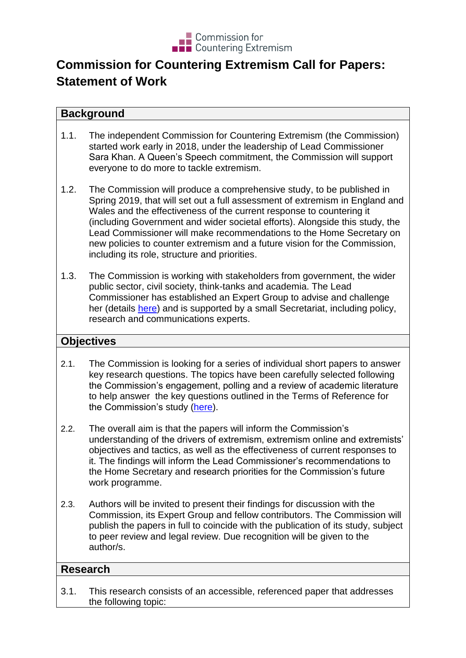

# **Commission for Countering Extremism Call for Papers: Statement of Work**

### **Background**

- 1.1. The independent Commission for Countering Extremism (the Commission) started work early in 2018, under the leadership of Lead Commissioner Sara Khan. A Queen's Speech commitment, the Commission will support everyone to do more to tackle extremism.
- 1.2. The Commission will produce a comprehensive study, to be published in Spring 2019, that will set out a full assessment of extremism in England and Wales and the effectiveness of the current response to countering it (including Government and wider societal efforts). Alongside this study, the Lead Commissioner will make recommendations to the Home Secretary on new policies to counter extremism and a future vision for the Commission, including its role, structure and priorities.
- 1.3. The Commission is working with stakeholders from government, the wider public sector, civil society, think-tanks and academia. The Lead Commissioner has established an Expert Group to advise and challenge her (details [here\)](https://www.gov.uk/guidance/the-commissions-expert-group) and is supported by a small Secretariat, including policy, research and communications experts.

## **Objectives**

- 2.1. The Commission is looking for a series of individual short papers to answer key research questions. The topics have been carefully selected following the Commission's engagement, polling and a review of academic literature to help answer the key questions outlined in the Terms of Reference for the Commission's study [\(here\)](https://www.gov.uk/government/publications/study-into-the-current-picture-of-extremism-terms-of-reference).
- 2.2. The overall aim is that the papers will inform the Commission's understanding of the drivers of extremism, extremism online and extremists' objectives and tactics, as well as the effectiveness of current responses to it. The findings will inform the Lead Commissioner's recommendations to the Home Secretary and research priorities for the Commission's future work programme.
- 2.3. Authors will be invited to present their findings for discussion with the Commission, its Expert Group and fellow contributors. The Commission will publish the papers in full to coincide with the publication of its study, subject to peer review and legal review. Due recognition will be given to the author/s.

## **Research**

3.1. This research consists of an accessible, referenced paper that addresses the following topic: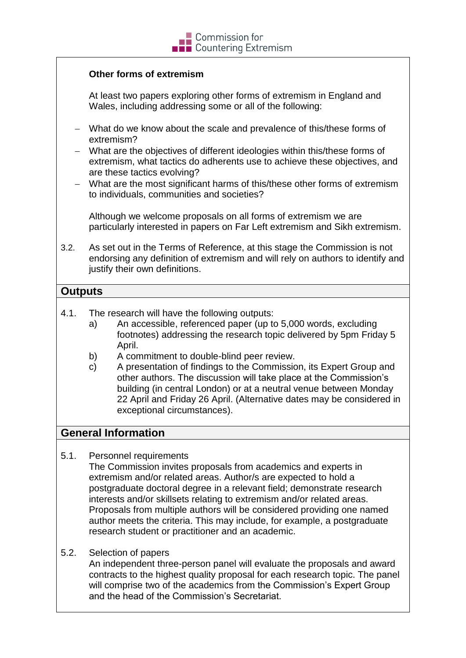# $\blacksquare$  Commission for **THE Countering Extremism**

#### **Other forms of extremism**

At least two papers exploring other forms of extremism in England and Wales, including addressing some or all of the following:

- What do we know about the scale and prevalence of this/these forms of extremism?
- What are the objectives of different ideologies within this/these forms of extremism, what tactics do adherents use to achieve these objectives, and are these tactics evolving?
- What are the most significant harms of this/these other forms of extremism to individuals, communities and societies?

Although we welcome proposals on all forms of extremism we are particularly interested in papers on Far Left extremism and Sikh extremism.

3.2. As set out in the Terms of Reference, at this stage the Commission is not endorsing any definition of extremism and will rely on authors to identify and justify their own definitions.

### **Outputs**

- 4.1. The research will have the following outputs:
	- a) An accessible, referenced paper (up to 5,000 words, excluding footnotes) addressing the research topic delivered by 5pm Friday 5 April.
	- b) A commitment to double-blind peer review.
	- c) A presentation of findings to the Commission, its Expert Group and other authors. The discussion will take place at the Commission's building (in central London) or at a neutral venue between Monday 22 April and Friday 26 April. (Alternative dates may be considered in exceptional circumstances).

#### **General Information**

5.1. Personnel requirements

The Commission invites proposals from academics and experts in extremism and/or related areas. Author/s are expected to hold a postgraduate doctoral degree in a relevant field; demonstrate research interests and/or skillsets relating to extremism and/or related areas. Proposals from multiple authors will be considered providing one named author meets the criteria. This may include, for example, a postgraduate research student or practitioner and an academic.

5.2. Selection of papers

An independent three-person panel will evaluate the proposals and award contracts to the highest quality proposal for each research topic. The panel will comprise two of the academics from the Commission's Expert Group and the head of the Commission's Secretariat.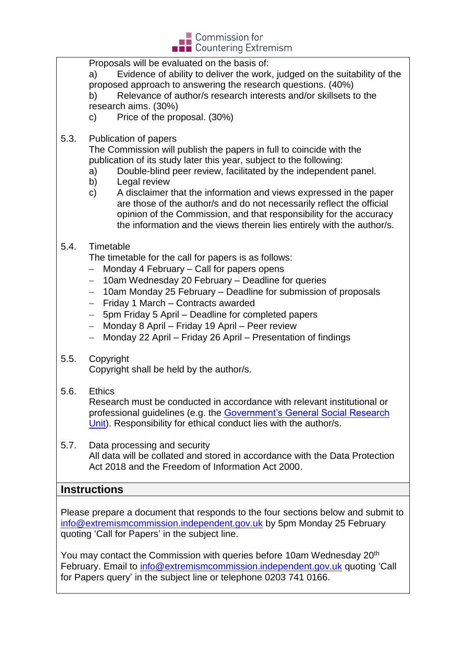

Proposals will be evaluated on the basis of: a) Evidence of ability to deliver the work, judged on the suitability of the proposed approach to answering the research questions. (40%) b) Relevance of author/s research interests and/or skillsets to the research aims. (30%) c) Price of the proposal. (30%) 5.3. Publication of papers The Commission will publish the papers in full to coincide with the publication of its study later this year, subject to the following: a) Double-blind peer review, facilitated by the independent panel. b) Legal review c) A disclaimer that the information and views expressed in the paper are those of the author/s and do not necessarily reflect the official opinion of the Commission, and that responsibility for the accuracy the information and the views therein lies entirely with the author/s. 5.4. Timetable The timetable for the call for papers is as follows:  $-$  Monday 4 February  $-$  Call for papers opens - 10am Wednesday 20 February - Deadline for queries - 10am Monday 25 February – Deadline for submission of proposals  $-$  Friday 1 March – Contracts awarded - 5pm Friday 5 April – Deadline for completed papers Monday 8 April – Friday 19 April – Peer review Monday 22 April – Friday 26 April – Presentation of findings 5.5. Copyright Copyright shall be held by the author/s. 5.6. Ethics Research must be conducted in accordance with relevant institutional or professional guidelines (e.g. the [Government's General Social Research](https://assets.publishing.service.gov.uk/government/uploads/system/uploads/attachment_data/file/515296/ethics_guidance_tcm6-5782.pdf)  [Unit\)](https://assets.publishing.service.gov.uk/government/uploads/system/uploads/attachment_data/file/515296/ethics_guidance_tcm6-5782.pdf). Responsibility for ethical conduct lies with the author/s. 5.7. Data processing and security All data will be collated and stored in accordance with the Data Protection Act 2018 and the Freedom of Information Act 2000. **Instructions** Please prepare a document that responds to the four sections below and submit to [info@extremismcommission.independent.gov.uk](mailto:info@extremismcommission.independent.gov.uk) by 5pm Monday 25 February quoting 'Call for Papers' in the subject line. You may contact the Commission with queries before 10am Wednesday 20<sup>th</sup> February. Email to [info@extremismcommission.independent.gov.uk](mailto:info@extremismcommission.independent.gov.uk) quoting 'Call for Papers query' in the subject line or telephone 0203 741 0166.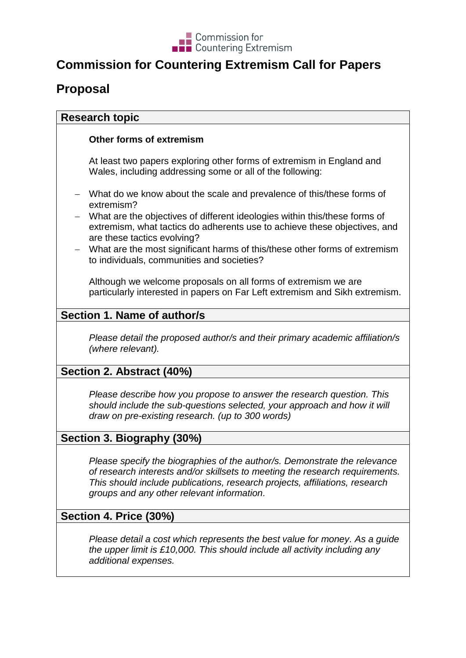

# **Commission for Countering Extremism Call for Papers**

# **Proposal**

### **Research topic**

#### **Other forms of extremism**

At least two papers exploring other forms of extremism in England and Wales, including addressing some or all of the following:

- What do we know about the scale and prevalence of this/these forms of extremism?
- What are the objectives of different ideologies within this/these forms of extremism, what tactics do adherents use to achieve these objectives, and are these tactics evolving?
- What are the most significant harms of this/these other forms of extremism to individuals, communities and societies?

Although we welcome proposals on all forms of extremism we are particularly interested in papers on Far Left extremism and Sikh extremism.

# **Section 1. Name of author/s**

*Please detail the proposed author/s and their primary academic affiliation/s (where relevant).*

## **Section 2. Abstract (40%)**

*Please describe how you propose to answer the research question. This should include the sub-questions selected, your approach and how it will draw on pre-existing research. (up to 300 words)*

## **Section 3. Biography (30%)**

*Please specify the biographies of the author/s. Demonstrate the relevance of research interests and/or skillsets to meeting the research requirements. This should include publications, research projects, affiliations, research groups and any other relevant information.*

## **Section 4. Price (30%)**

*Please detail a cost which represents the best value for money. As a guide the upper limit is £10,000. This should include all activity including any additional expenses.*